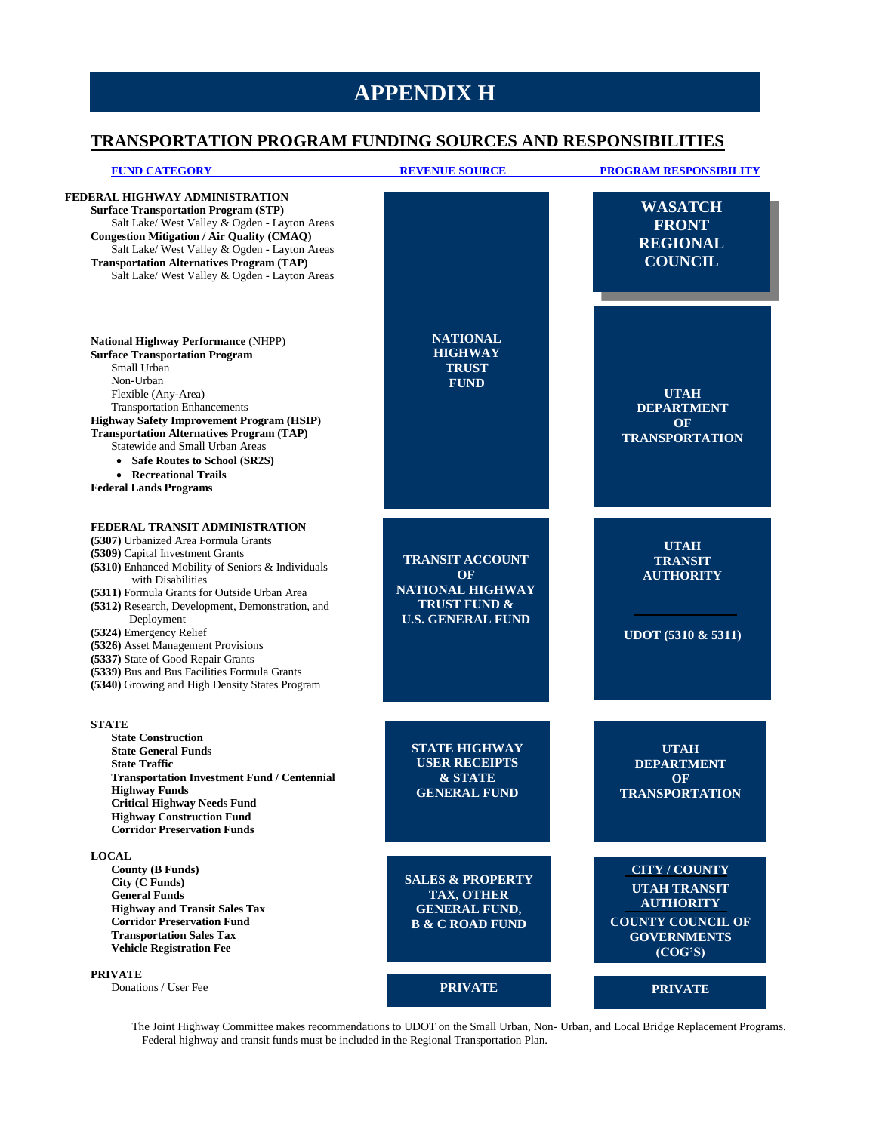## **APPENDIX H**

## **TRANSPORTATION PROGRAM FUNDING SOURCES AND RESPONSIBILITIES**

| <b>FUND CATEGORY</b>                                                                                                                                                                                                                                                                                                                                                                                                                                                                                            | <b>REVENUE SOURCE</b>                                                                                   | <b>PROGRAM RESPONSIBILITY</b>                                                                                                |
|-----------------------------------------------------------------------------------------------------------------------------------------------------------------------------------------------------------------------------------------------------------------------------------------------------------------------------------------------------------------------------------------------------------------------------------------------------------------------------------------------------------------|---------------------------------------------------------------------------------------------------------|------------------------------------------------------------------------------------------------------------------------------|
| FEDERAL HIGHWAY ADMINISTRATION<br><b>Surface Transportation Program (STP)</b><br>Salt Lake/ West Valley & Ogden - Layton Areas<br><b>Congestion Mitigation / Air Quality (CMAQ)</b><br>Salt Lake/ West Valley & Ogden - Layton Areas<br><b>Transportation Alternatives Program (TAP)</b><br>Salt Lake/ West Valley & Ogden - Layton Areas                                                                                                                                                                       |                                                                                                         | <b>WASATCH</b><br><b>FRONT</b><br><b>REGIONAL</b><br><b>COUNCIL</b>                                                          |
| National Highway Performance (NHPP)<br><b>Surface Transportation Program</b><br>Small Urban<br>Non-Urban<br>Flexible (Any-Area)<br><b>Transportation Enhancements</b><br><b>Highway Safety Improvement Program (HSIP)</b><br><b>Transportation Alternatives Program (TAP)</b><br>Statewide and Small Urban Areas<br>• Safe Routes to School (SR2S)<br>• Recreational Trails<br><b>Federal Lands Programs</b>                                                                                                    | <b>NATIONAL</b><br><b>HIGHWAY</b><br><b>TRUST</b><br><b>FUND</b>                                        | <b>UTAH</b><br><b>DEPARTMENT</b><br><b>OF</b><br><b>TRANSPORTATION</b>                                                       |
| FEDERAL TRANSIT ADMINISTRATION<br>(5307) Urbanized Area Formula Grants<br>(5309) Capital Investment Grants<br>(5310) Enhanced Mobility of Seniors & Individuals<br>with Disabilities<br>(5311) Formula Grants for Outside Urban Area<br>(5312) Research, Development, Demonstration, and<br>Deployment<br>(5324) Emergency Relief<br>(5326) Asset Management Provisions<br>(5337) State of Good Repair Grants<br>(5339) Bus and Bus Facilities Formula Grants<br>(5340) Growing and High Density States Program | <b>TRANSIT ACCOUNT</b><br>OF<br>NATIONAL HIGHWAY<br><b>TRUST FUND &amp;</b><br><b>U.S. GENERAL FUND</b> | <b>UTAH</b><br><b>TRANSIT</b><br><b>AUTHORITY</b><br>UDOT (5310 & 5311)                                                      |
| <b>STATE</b><br><b>State Construction</b><br><b>State General Funds</b><br><b>State Traffic</b><br><b>Transportation Investment Fund / Centennial</b><br><b>Highway Funds</b><br><b>Critical Highway Needs Fund</b><br><b>Highway Construction Fund</b><br><b>Corridor Preservation Funds</b>                                                                                                                                                                                                                   | <b>STATE HIGHWAY</b><br><b>USER RECEIPTS</b><br>& STATE<br><b>GENERAL FUND</b>                          | <b>UTAH</b><br><b>DEPARTMENT</b><br><b>OF</b><br><b>TRANSPORTATION</b>                                                       |
| <b>LOCAL</b><br><b>County (B Funds)</b><br>City (C Funds)<br><b>General Funds</b><br><b>Highway and Transit Sales Tax</b><br><b>Corridor Preservation Fund</b><br><b>Transportation Sales Tax</b><br><b>Vehicle Registration Fee</b>                                                                                                                                                                                                                                                                            | <b>SALES &amp; PROPERTY</b><br><b>TAX, OTHER</b><br><b>GENERAL FUND,</b><br><b>B &amp; C ROAD FUND</b>  | <b>CITY / COUNTY</b><br><b>UTAH TRANSIT</b><br><b>AUTHORITY</b><br><b>COUNTY COUNCIL OF</b><br><b>GOVERNMENTS</b><br>(COG'S) |
| <b>PRIVATE</b><br>Donations / User Fee                                                                                                                                                                                                                                                                                                                                                                                                                                                                          | <b>PRIVATE</b>                                                                                          | <b>PRIVATE</b>                                                                                                               |

The Joint Highway Committee makes recommendations to UDOT on the Small Urban, Non- Urban, and Local Bridge Replacement Programs. Federal highway and transit funds must be included in the Regional Transportation Plan.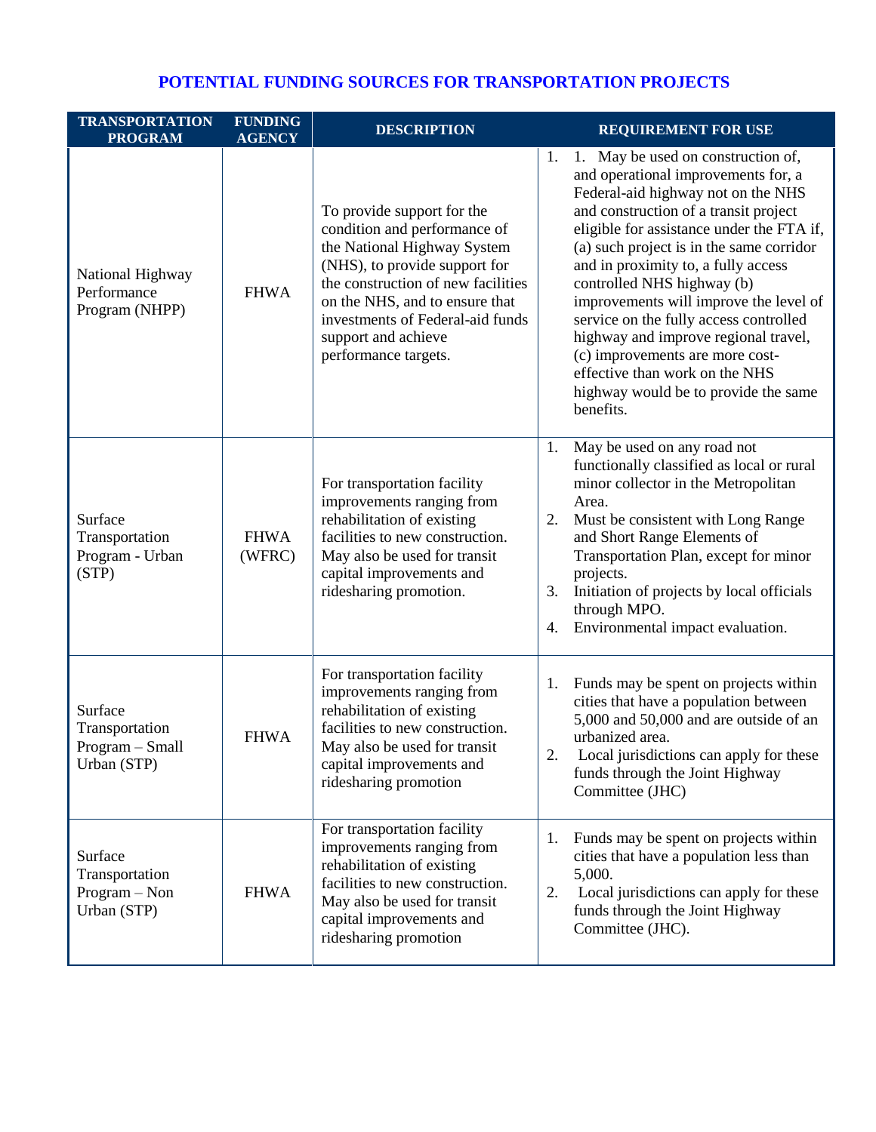## **POTENTIAL FUNDING SOURCES FOR TRANSPORTATION PROJECTS**

| <b>TRANSPORTATION</b><br><b>PROGRAM</b>                     | <b>FUNDING</b><br><b>AGENCY</b> | <b>DESCRIPTION</b>                                                                                                                                                                                                                                                                    | <b>REQUIREMENT FOR USE</b>                                                                                                                                                                                                                                                                                                                                                                                                                                                                                                                                                         |
|-------------------------------------------------------------|---------------------------------|---------------------------------------------------------------------------------------------------------------------------------------------------------------------------------------------------------------------------------------------------------------------------------------|------------------------------------------------------------------------------------------------------------------------------------------------------------------------------------------------------------------------------------------------------------------------------------------------------------------------------------------------------------------------------------------------------------------------------------------------------------------------------------------------------------------------------------------------------------------------------------|
| National Highway<br>Performance<br>Program (NHPP)           | <b>FHWA</b>                     | To provide support for the<br>condition and performance of<br>the National Highway System<br>(NHS), to provide support for<br>the construction of new facilities<br>on the NHS, and to ensure that<br>investments of Federal-aid funds<br>support and achieve<br>performance targets. | 1. May be used on construction of,<br>1.<br>and operational improvements for, a<br>Federal-aid highway not on the NHS<br>and construction of a transit project<br>eligible for assistance under the FTA if,<br>(a) such project is in the same corridor<br>and in proximity to, a fully access<br>controlled NHS highway (b)<br>improvements will improve the level of<br>service on the fully access controlled<br>highway and improve regional travel,<br>(c) improvements are more cost-<br>effective than work on the NHS<br>highway would be to provide the same<br>benefits. |
| Surface<br>Transportation<br>Program - Urban<br>(STP)       | <b>FHWA</b><br>(WFRC)           | For transportation facility<br>improvements ranging from<br>rehabilitation of existing<br>facilities to new construction.<br>May also be used for transit<br>capital improvements and<br>ridesharing promotion.                                                                       | 1.<br>May be used on any road not<br>functionally classified as local or rural<br>minor collector in the Metropolitan<br>Area.<br>Must be consistent with Long Range<br>2.<br>and Short Range Elements of<br>Transportation Plan, except for minor<br>projects.<br>3.<br>Initiation of projects by local officials<br>through MPO.<br>Environmental impact evaluation.<br>4.                                                                                                                                                                                                       |
| Surface<br>Transportation<br>Program - Small<br>Urban (STP) | <b>FHWA</b>                     | For transportation facility<br>improvements ranging from<br>rehabilitation of existing<br>facilities to new construction.<br>May also be used for transit<br>capital improvements and<br>ridesharing promotion                                                                        | Funds may be spent on projects within<br>1.<br>cities that have a population between<br>5,000 and 50,000 and are outside of an<br>urbanized area.<br>2.<br>Local jurisdictions can apply for these<br>funds through the Joint Highway<br>Committee (JHC)                                                                                                                                                                                                                                                                                                                           |
| Surface<br>Transportation<br>Program - Non<br>Urban (STP)   | <b>FHWA</b>                     | For transportation facility<br>improvements ranging from<br>rehabilitation of existing<br>facilities to new construction.<br>May also be used for transit<br>capital improvements and<br>ridesharing promotion                                                                        | Funds may be spent on projects within<br>1.<br>cities that have a population less than<br>5,000.<br>2.<br>Local jurisdictions can apply for these<br>funds through the Joint Highway<br>Committee (JHC).                                                                                                                                                                                                                                                                                                                                                                           |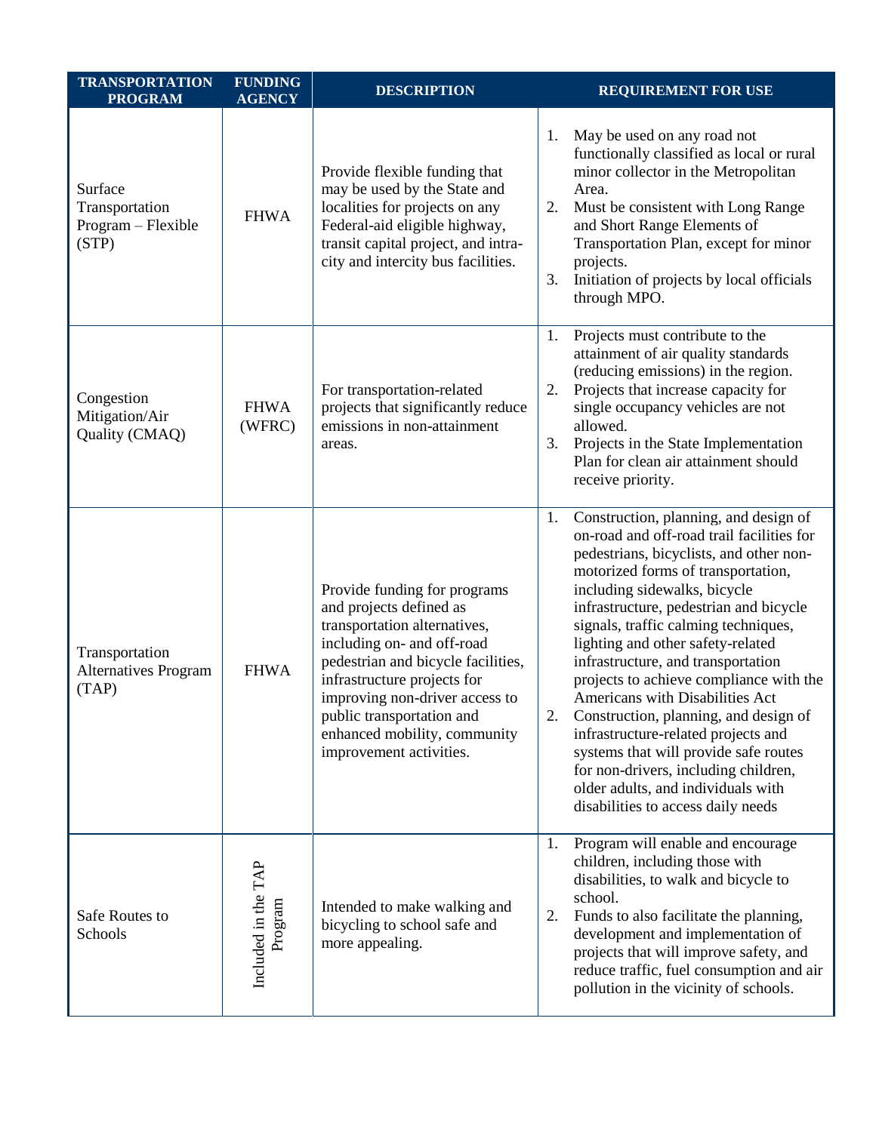| <b>TRANSPORTATION</b><br><b>PROGRAM</b>                  | <b>FUNDING</b><br><b>AGENCY</b> | <b>DESCRIPTION</b>                                                                                                                                                                                                                                                                                                   | <b>REQUIREMENT FOR USE</b>                                                                                                                                                                                                                                                                                                                                                                                                                                                                                                                                                                                                                                                                              |
|----------------------------------------------------------|---------------------------------|----------------------------------------------------------------------------------------------------------------------------------------------------------------------------------------------------------------------------------------------------------------------------------------------------------------------|---------------------------------------------------------------------------------------------------------------------------------------------------------------------------------------------------------------------------------------------------------------------------------------------------------------------------------------------------------------------------------------------------------------------------------------------------------------------------------------------------------------------------------------------------------------------------------------------------------------------------------------------------------------------------------------------------------|
| Surface<br>Transportation<br>Program - Flexible<br>(STP) | <b>FHWA</b>                     | Provide flexible funding that<br>may be used by the State and<br>localities for projects on any<br>Federal-aid eligible highway,<br>transit capital project, and intra-<br>city and intercity bus facilities.                                                                                                        | May be used on any road not<br>1.<br>functionally classified as local or rural<br>minor collector in the Metropolitan<br>Area.<br>Must be consistent with Long Range<br>2.<br>and Short Range Elements of<br>Transportation Plan, except for minor<br>projects.<br>3.<br>Initiation of projects by local officials<br>through MPO.                                                                                                                                                                                                                                                                                                                                                                      |
| Congestion<br>Mitigation/Air<br>Quality (CMAQ)           | <b>FHWA</b><br>(WFRC)           | For transportation-related<br>projects that significantly reduce<br>emissions in non-attainment<br>areas.                                                                                                                                                                                                            | Projects must contribute to the<br>1.<br>attainment of air quality standards<br>(reducing emissions) in the region.<br>Projects that increase capacity for<br>2.<br>single occupancy vehicles are not<br>allowed.<br>3.<br>Projects in the State Implementation<br>Plan for clean air attainment should<br>receive priority.                                                                                                                                                                                                                                                                                                                                                                            |
| Transportation<br><b>Alternatives Program</b><br>(TAP)   | <b>FHWA</b>                     | Provide funding for programs<br>and projects defined as<br>transportation alternatives,<br>including on- and off-road<br>pedestrian and bicycle facilities,<br>infrastructure projects for<br>improving non-driver access to<br>public transportation and<br>enhanced mobility, community<br>improvement activities. | Construction, planning, and design of<br>1.<br>on-road and off-road trail facilities for<br>pedestrians, bicyclists, and other non-<br>motorized forms of transportation,<br>including sidewalks, bicycle<br>infrastructure, pedestrian and bicycle<br>signals, traffic calming techniques,<br>lighting and other safety-related<br>infrastructure, and transportation<br>projects to achieve compliance with the<br>Americans with Disabilities Act<br>2.<br>Construction, planning, and design of<br>infrastructure-related projects and<br>systems that will provide safe routes<br>for non-drivers, including children,<br>older adults, and individuals with<br>disabilities to access daily needs |
| Safe Routes to<br>Schools                                | Included in the TAP<br>Program  | Intended to make walking and<br>bicycling to school safe and<br>more appealing.                                                                                                                                                                                                                                      | Program will enable and encourage<br>1.<br>children, including those with<br>disabilities, to walk and bicycle to<br>school.<br>Funds to also facilitate the planning,<br>2.<br>development and implementation of<br>projects that will improve safety, and<br>reduce traffic, fuel consumption and air<br>pollution in the vicinity of schools.                                                                                                                                                                                                                                                                                                                                                        |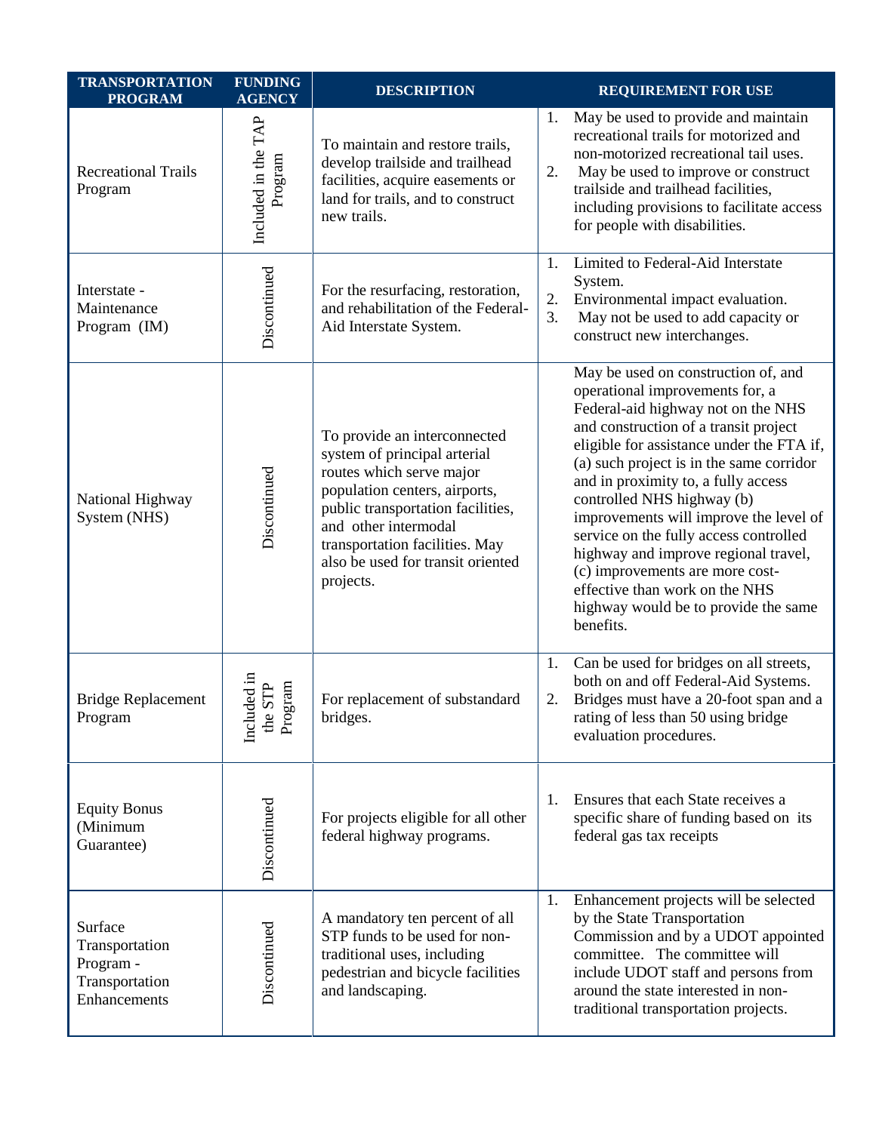| <b>TRANSPORTATION</b><br><b>PROGRAM</b>                                  | <b>FUNDING</b><br><b>AGENCY</b>               | <b>DESCRIPTION</b>                                                                                                                                                                                                                                                         | <b>REQUIREMENT FOR USE</b>                                                                                                                                                                                                                                                                                                                                                                                                                                                                                                                                                |
|--------------------------------------------------------------------------|-----------------------------------------------|----------------------------------------------------------------------------------------------------------------------------------------------------------------------------------------------------------------------------------------------------------------------------|---------------------------------------------------------------------------------------------------------------------------------------------------------------------------------------------------------------------------------------------------------------------------------------------------------------------------------------------------------------------------------------------------------------------------------------------------------------------------------------------------------------------------------------------------------------------------|
| <b>Recreational Trails</b><br>Program                                    | Included in the TAP<br>Program                | To maintain and restore trails,<br>develop trailside and trailhead<br>facilities, acquire easements or<br>land for trails, and to construct<br>new trails.                                                                                                                 | May be used to provide and maintain<br>1.<br>recreational trails for motorized and<br>non-motorized recreational tail uses.<br>2.<br>May be used to improve or construct<br>trailside and trailhead facilities,<br>including provisions to facilitate access<br>for people with disabilities.                                                                                                                                                                                                                                                                             |
| Interstate -<br>Maintenance<br>Program (IM)                              | Discontinued                                  | For the resurfacing, restoration,<br>and rehabilitation of the Federal-<br>Aid Interstate System.                                                                                                                                                                          | Limited to Federal-Aid Interstate<br>1.<br>System.<br>2.<br>Environmental impact evaluation.<br>3.<br>May not be used to add capacity or<br>construct new interchanges.                                                                                                                                                                                                                                                                                                                                                                                                   |
| National Highway<br>System (NHS)                                         | Discontinued                                  | To provide an interconnected<br>system of principal arterial<br>routes which serve major<br>population centers, airports,<br>public transportation facilities,<br>and other intermodal<br>transportation facilities. May<br>also be used for transit oriented<br>projects. | May be used on construction of, and<br>operational improvements for, a<br>Federal-aid highway not on the NHS<br>and construction of a transit project<br>eligible for assistance under the FTA if,<br>(a) such project is in the same corridor<br>and in proximity to, a fully access<br>controlled NHS highway (b)<br>improvements will improve the level of<br>service on the fully access controlled<br>highway and improve regional travel,<br>(c) improvements are more cost-<br>effective than work on the NHS<br>highway would be to provide the same<br>benefits. |
| <b>Bridge Replacement</b><br>Program                                     | uded in<br>STP<br>gram<br>Inclu<br>the<br>Pro | For replacement of substandard<br>bridges.                                                                                                                                                                                                                                 | 1.<br>Can be used for bridges on all streets,<br>both on and off Federal-Aid Systems.<br>Bridges must have a 20-foot span and a<br>2.<br>rating of less than 50 using bridge<br>evaluation procedures.                                                                                                                                                                                                                                                                                                                                                                    |
| <b>Equity Bonus</b><br>(Minimum<br>Guarantee)                            | Discontinued                                  | For projects eligible for all other<br>federal highway programs.                                                                                                                                                                                                           | Ensures that each State receives a<br>1.<br>specific share of funding based on its<br>federal gas tax receipts                                                                                                                                                                                                                                                                                                                                                                                                                                                            |
| Surface<br>Transportation<br>Program -<br>Transportation<br>Enhancements | Discontinued                                  | A mandatory ten percent of all<br>STP funds to be used for non-<br>traditional uses, including<br>pedestrian and bicycle facilities<br>and landscaping.                                                                                                                    | Enhancement projects will be selected<br>1.<br>by the State Transportation<br>Commission and by a UDOT appointed<br>committee. The committee will<br>include UDOT staff and persons from<br>around the state interested in non-<br>traditional transportation projects.                                                                                                                                                                                                                                                                                                   |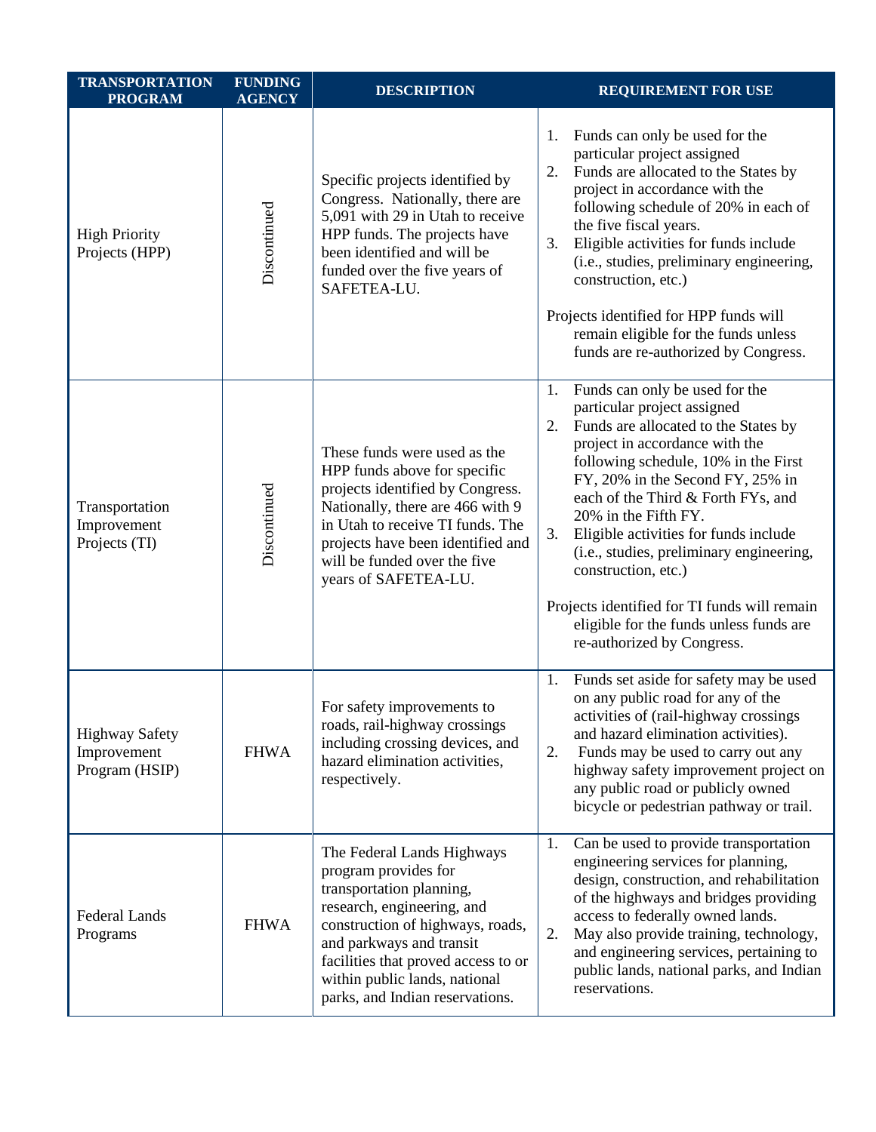| <b>TRANSPORTATION</b><br><b>PROGRAM</b>                | <b>FUNDING</b><br><b>AGENCY</b> | <b>DESCRIPTION</b>                                                                                                                                                                                                                                                                      | <b>REQUIREMENT FOR USE</b>                                                                                                                                                                                                                                                                                                                                                                                                                                                                                                               |
|--------------------------------------------------------|---------------------------------|-----------------------------------------------------------------------------------------------------------------------------------------------------------------------------------------------------------------------------------------------------------------------------------------|------------------------------------------------------------------------------------------------------------------------------------------------------------------------------------------------------------------------------------------------------------------------------------------------------------------------------------------------------------------------------------------------------------------------------------------------------------------------------------------------------------------------------------------|
| <b>High Priority</b><br>Projects (HPP)                 | Discontinued                    | Specific projects identified by<br>Congress. Nationally, there are<br>5,091 with 29 in Utah to receive<br>HPP funds. The projects have<br>been identified and will be<br>funded over the five years of<br>SAFETEA-LU.                                                                   | Funds can only be used for the<br>1.<br>particular project assigned<br>Funds are allocated to the States by<br>2.<br>project in accordance with the<br>following schedule of 20% in each of<br>the five fiscal years.<br>3.<br>Eligible activities for funds include<br>(i.e., studies, preliminary engineering,<br>construction, etc.)<br>Projects identified for HPP funds will<br>remain eligible for the funds unless<br>funds are re-authorized by Congress.                                                                        |
| Transportation<br>Improvement<br>Projects (TI)         | Discontinued                    | These funds were used as the<br>HPP funds above for specific<br>projects identified by Congress.<br>Nationally, there are 466 with 9<br>in Utah to receive TI funds. The<br>projects have been identified and<br>will be funded over the five<br>years of SAFETEA-LU.                   | Funds can only be used for the<br>1.<br>particular project assigned<br>Funds are allocated to the States by<br>2.<br>project in accordance with the<br>following schedule, 10% in the First<br>FY, 20% in the Second FY, 25% in<br>each of the Third & Forth FYs, and<br>20% in the Fifth FY.<br>3.<br>Eligible activities for funds include<br>(i.e., studies, preliminary engineering,<br>construction, etc.)<br>Projects identified for TI funds will remain<br>eligible for the funds unless funds are<br>re-authorized by Congress. |
| <b>Highway Safety</b><br>Improvement<br>Program (HSIP) | <b>FHWA</b>                     | For safety improvements to<br>roads, rail-highway crossings<br>including crossing devices, and<br>hazard elimination activities,<br>respectively.                                                                                                                                       | Funds set aside for safety may be used<br>1.<br>on any public road for any of the<br>activities of (rail-highway crossings<br>and hazard elimination activities).<br>2.<br>Funds may be used to carry out any<br>highway safety improvement project on<br>any public road or publicly owned<br>bicycle or pedestrian pathway or trail.                                                                                                                                                                                                   |
| Federal Lands<br>Programs                              | <b>FHWA</b>                     | The Federal Lands Highways<br>program provides for<br>transportation planning,<br>research, engineering, and<br>construction of highways, roads,<br>and parkways and transit<br>facilities that proved access to or<br>within public lands, national<br>parks, and Indian reservations. | Can be used to provide transportation<br>1.<br>engineering services for planning,<br>design, construction, and rehabilitation<br>of the highways and bridges providing<br>access to federally owned lands.<br>2.<br>May also provide training, technology,<br>and engineering services, pertaining to<br>public lands, national parks, and Indian<br>reservations.                                                                                                                                                                       |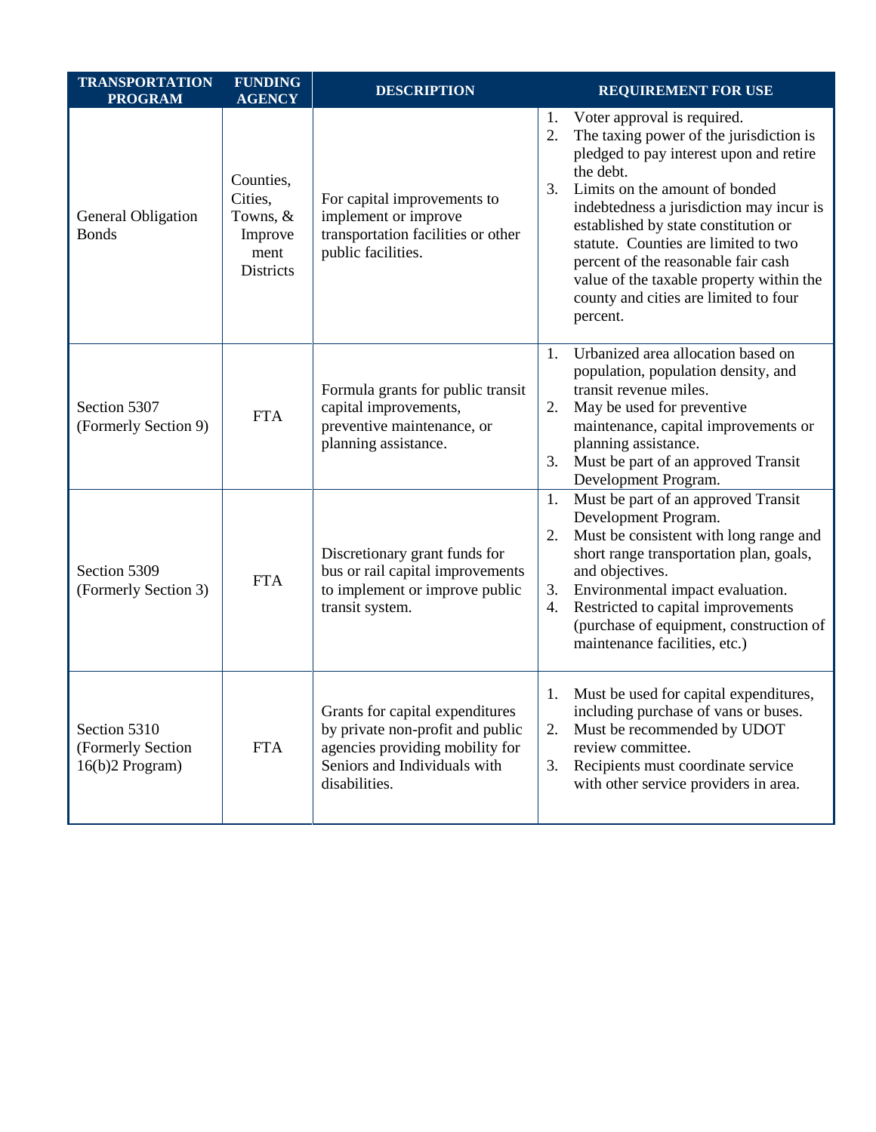| <b>TRANSPORTATION</b><br><b>PROGRAM</b>                | <b>FUNDING</b><br><b>AGENCY</b>                                           | <b>DESCRIPTION</b>                                                                                                                                      | <b>REQUIREMENT FOR USE</b>                                                                                                                                                                                                                                                                                                                                                                                                                             |
|--------------------------------------------------------|---------------------------------------------------------------------------|---------------------------------------------------------------------------------------------------------------------------------------------------------|--------------------------------------------------------------------------------------------------------------------------------------------------------------------------------------------------------------------------------------------------------------------------------------------------------------------------------------------------------------------------------------------------------------------------------------------------------|
| General Obligation<br><b>Bonds</b>                     | Counties,<br>Cities,<br>Towns, $&$<br>Improve<br>ment<br><b>Districts</b> | For capital improvements to<br>implement or improve<br>transportation facilities or other<br>public facilities.                                         | Voter approval is required.<br>1.<br>The taxing power of the jurisdiction is<br>2.<br>pledged to pay interest upon and retire<br>the debt.<br>Limits on the amount of bonded<br>3.<br>indebtedness a jurisdiction may incur is<br>established by state constitution or<br>statute. Counties are limited to two<br>percent of the reasonable fair cash<br>value of the taxable property within the<br>county and cities are limited to four<br>percent. |
| Section 5307<br>(Formerly Section 9)                   | <b>FTA</b>                                                                | Formula grants for public transit<br>capital improvements,<br>preventive maintenance, or<br>planning assistance.                                        | Urbanized area allocation based on<br>1.<br>population, population density, and<br>transit revenue miles.<br>May be used for preventive<br>2.<br>maintenance, capital improvements or<br>planning assistance.<br>Must be part of an approved Transit<br>3.<br>Development Program.                                                                                                                                                                     |
| Section 5309<br>(Formerly Section 3)                   | <b>FTA</b>                                                                | Discretionary grant funds for<br>bus or rail capital improvements<br>to implement or improve public<br>transit system.                                  | Must be part of an approved Transit<br>1.<br>Development Program.<br>Must be consistent with long range and<br>2.<br>short range transportation plan, goals,<br>and objectives.<br>Environmental impact evaluation.<br>3.<br>Restricted to capital improvements<br>4.<br>(purchase of equipment, construction of<br>maintenance facilities, etc.)                                                                                                      |
| Section 5310<br>(Formerly Section<br>$16(b)2$ Program) | <b>FTA</b>                                                                | Grants for capital expenditures<br>by private non-profit and public<br>agencies providing mobility for<br>Seniors and Individuals with<br>disabilities. | Must be used for capital expenditures,<br>1.<br>including purchase of vans or buses.<br>Must be recommended by UDOT<br>2.<br>review committee.<br>Recipients must coordinate service<br>3.<br>with other service providers in area.                                                                                                                                                                                                                    |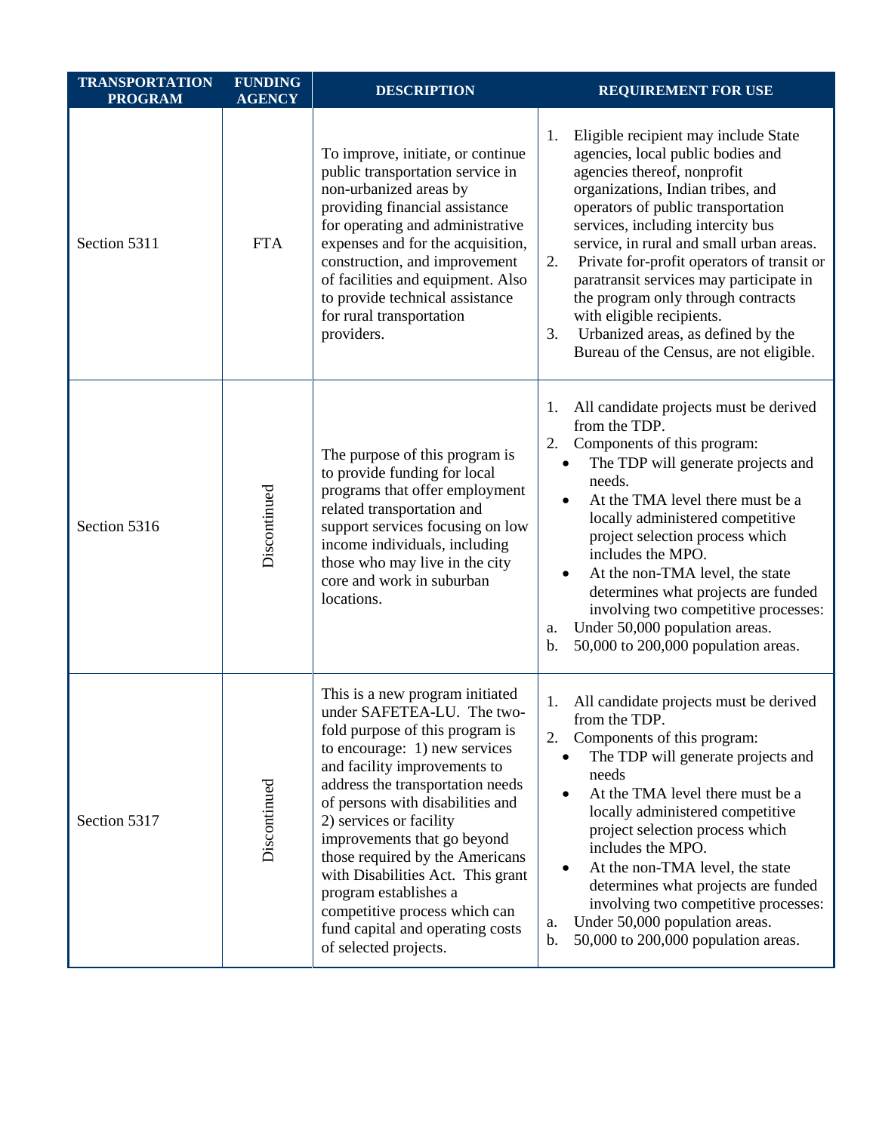| <b>TRANSPORTATION</b><br><b>PROGRAM</b> | <b>FUNDING</b><br><b>AGENCY</b> | <b>DESCRIPTION</b>                                                                                                                                                                                                                                                                                                                                                                                                                                                                                 | <b>REQUIREMENT FOR USE</b>                                                                                                                                                                                                                                                                                                                                                                                                                                                                                                          |
|-----------------------------------------|---------------------------------|----------------------------------------------------------------------------------------------------------------------------------------------------------------------------------------------------------------------------------------------------------------------------------------------------------------------------------------------------------------------------------------------------------------------------------------------------------------------------------------------------|-------------------------------------------------------------------------------------------------------------------------------------------------------------------------------------------------------------------------------------------------------------------------------------------------------------------------------------------------------------------------------------------------------------------------------------------------------------------------------------------------------------------------------------|
| Section 5311                            | <b>FTA</b>                      | To improve, initiate, or continue<br>public transportation service in<br>non-urbanized areas by<br>providing financial assistance<br>for operating and administrative<br>expenses and for the acquisition,<br>construction, and improvement<br>of facilities and equipment. Also<br>to provide technical assistance<br>for rural transportation<br>providers.                                                                                                                                      | Eligible recipient may include State<br>1.<br>agencies, local public bodies and<br>agencies thereof, nonprofit<br>organizations, Indian tribes, and<br>operators of public transportation<br>services, including intercity bus<br>service, in rural and small urban areas.<br>Private for-profit operators of transit or<br>2.<br>paratransit services may participate in<br>the program only through contracts<br>with eligible recipients.<br>Urbanized areas, as defined by the<br>3.<br>Bureau of the Census, are not eligible. |
| Section 5316                            | Discontinued                    | The purpose of this program is<br>to provide funding for local<br>programs that offer employment<br>related transportation and<br>support services focusing on low<br>income individuals, including<br>those who may live in the city<br>core and work in suburban<br>locations.                                                                                                                                                                                                                   | All candidate projects must be derived<br>1.<br>from the TDP.<br>2.<br>Components of this program:<br>The TDP will generate projects and<br>$\bullet$<br>needs.<br>At the TMA level there must be a<br>locally administered competitive<br>project selection process which<br>includes the MPO.<br>At the non-TMA level, the state<br>determines what projects are funded<br>involving two competitive processes:<br>Under 50,000 population areas.<br>a.<br>50,000 to 200,000 population areas.<br>b.                              |
| Section 5317                            | Discontinued                    | This is a new program initiated<br>under SAFETEA-LU. The two-<br>fold purpose of this program is<br>to encourage: 1) new services<br>and facility improvements to<br>address the transportation needs<br>of persons with disabilities and<br>2) services or facility<br>improvements that go beyond<br>those required by the Americans<br>with Disabilities Act. This grant<br>program establishes a<br>competitive process which can<br>fund capital and operating costs<br>of selected projects. | All candidate projects must be derived<br>1.<br>from the TDP.<br>2.<br>Components of this program:<br>The TDP will generate projects and<br>needs<br>At the TMA level there must be a<br>locally administered competitive<br>project selection process which<br>includes the MPO.<br>At the non-TMA level, the state<br>$\bullet$<br>determines what projects are funded<br>involving two competitive processes:<br>Under 50,000 population areas.<br>a.<br>50,000 to 200,000 population areas.<br>b.                               |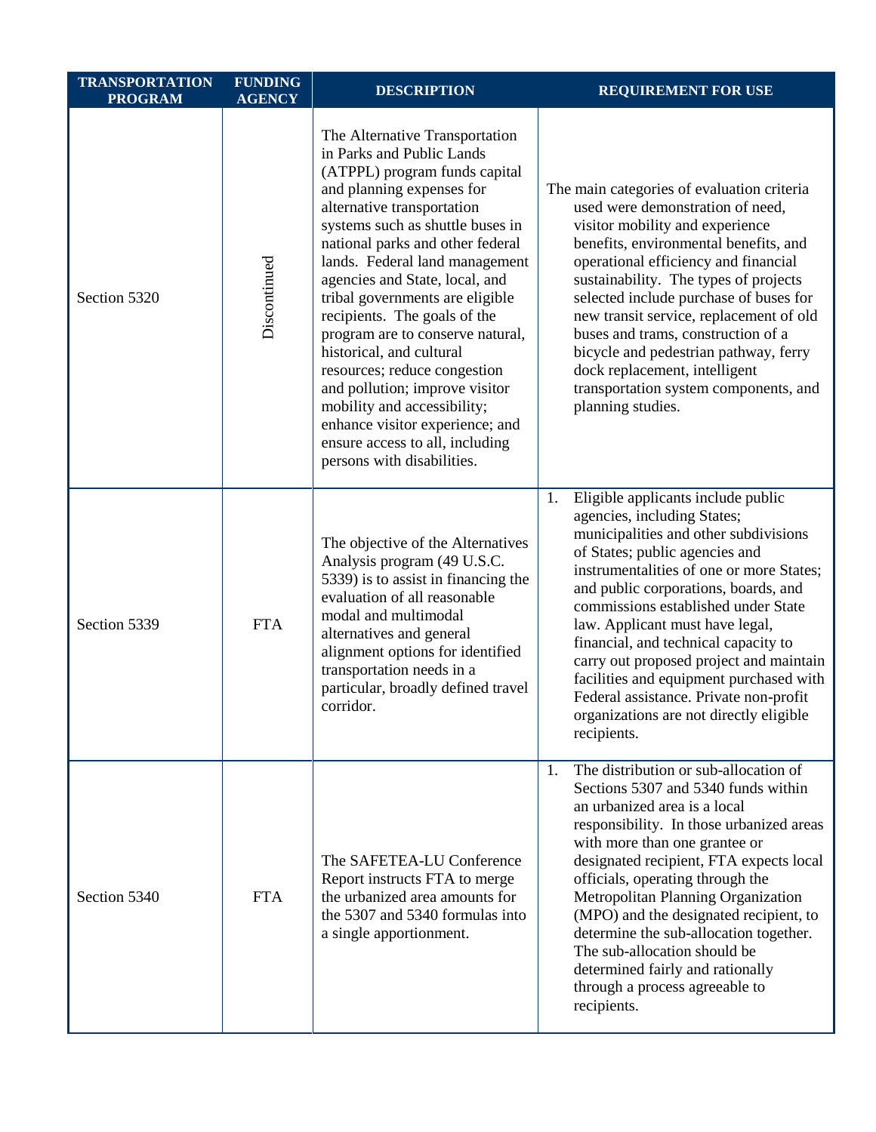| <b>TRANSPORTATION</b><br><b>PROGRAM</b> | <b>FUNDING</b><br><b>AGENCY</b> | <b>DESCRIPTION</b>                                                                                                                                                                                                                                                                                                                                                                                                                                                                                                                                                                                                                          | <b>REQUIREMENT FOR USE</b>                                                                                                                                                                                                                                                                                                                                                                                                                                                                                                                         |
|-----------------------------------------|---------------------------------|---------------------------------------------------------------------------------------------------------------------------------------------------------------------------------------------------------------------------------------------------------------------------------------------------------------------------------------------------------------------------------------------------------------------------------------------------------------------------------------------------------------------------------------------------------------------------------------------------------------------------------------------|----------------------------------------------------------------------------------------------------------------------------------------------------------------------------------------------------------------------------------------------------------------------------------------------------------------------------------------------------------------------------------------------------------------------------------------------------------------------------------------------------------------------------------------------------|
| Section 5320                            | Discontinued                    | The Alternative Transportation<br>in Parks and Public Lands<br>(ATPPL) program funds capital<br>and planning expenses for<br>alternative transportation<br>systems such as shuttle buses in<br>national parks and other federal<br>lands. Federal land management<br>agencies and State, local, and<br>tribal governments are eligible<br>recipients. The goals of the<br>program are to conserve natural,<br>historical, and cultural<br>resources; reduce congestion<br>and pollution; improve visitor<br>mobility and accessibility;<br>enhance visitor experience; and<br>ensure access to all, including<br>persons with disabilities. | The main categories of evaluation criteria<br>used were demonstration of need,<br>visitor mobility and experience<br>benefits, environmental benefits, and<br>operational efficiency and financial<br>sustainability. The types of projects<br>selected include purchase of buses for<br>new transit service, replacement of old<br>buses and trams, construction of a<br>bicycle and pedestrian pathway, ferry<br>dock replacement, intelligent<br>transportation system components, and<br>planning studies.                                     |
| Section 5339                            | <b>FTA</b>                      | The objective of the Alternatives<br>Analysis program (49 U.S.C.<br>5339) is to assist in financing the<br>evaluation of all reasonable<br>modal and multimodal<br>alternatives and general<br>alignment options for identified<br>transportation needs in a<br>particular, broadly defined travel<br>corridor.                                                                                                                                                                                                                                                                                                                             | Eligible applicants include public<br>1.<br>agencies, including States;<br>municipalities and other subdivisions<br>of States; public agencies and<br>instrumentalities of one or more States;<br>and public corporations, boards, and<br>commissions established under State<br>law. Applicant must have legal,<br>financial, and technical capacity to<br>carry out proposed project and maintain<br>facilities and equipment purchased with<br>Federal assistance. Private non-profit<br>organizations are not directly eligible<br>recipients. |
| Section 5340                            | <b>FTA</b>                      | The SAFETEA-LU Conference<br>Report instructs FTA to merge<br>the urbanized area amounts for<br>the 5307 and 5340 formulas into<br>a single apportionment.                                                                                                                                                                                                                                                                                                                                                                                                                                                                                  | The distribution or sub-allocation of<br>1.<br>Sections 5307 and 5340 funds within<br>an urbanized area is a local<br>responsibility. In those urbanized areas<br>with more than one grantee or<br>designated recipient, FTA expects local<br>officials, operating through the<br>Metropolitan Planning Organization<br>(MPO) and the designated recipient, to<br>determine the sub-allocation together.<br>The sub-allocation should be<br>determined fairly and rationally<br>through a process agreeable to<br>recipients.                      |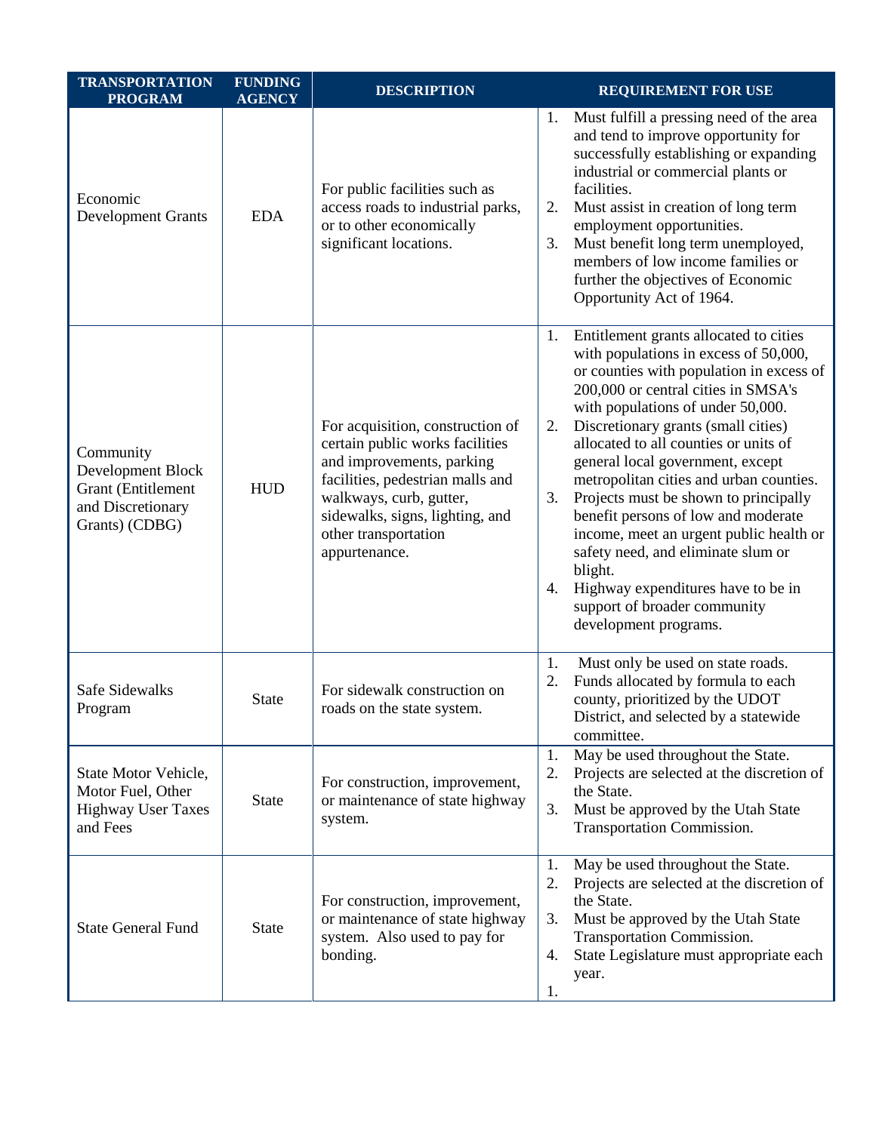| <b>TRANSPORTATION</b><br><b>PROGRAM</b>                                                            | <b>FUNDING</b><br><b>AGENCY</b> | <b>DESCRIPTION</b>                                                                                                                                                                                                                          | <b>REQUIREMENT FOR USE</b>                                                                                                                                                                                                                                                                                                                                                                                                                                                                                                                                                                                                                                                |
|----------------------------------------------------------------------------------------------------|---------------------------------|---------------------------------------------------------------------------------------------------------------------------------------------------------------------------------------------------------------------------------------------|---------------------------------------------------------------------------------------------------------------------------------------------------------------------------------------------------------------------------------------------------------------------------------------------------------------------------------------------------------------------------------------------------------------------------------------------------------------------------------------------------------------------------------------------------------------------------------------------------------------------------------------------------------------------------|
| Economic<br><b>Development Grants</b>                                                              | <b>EDA</b>                      | For public facilities such as<br>access roads to industrial parks,<br>or to other economically<br>significant locations.                                                                                                                    | Must fulfill a pressing need of the area<br>1.<br>and tend to improve opportunity for<br>successfully establishing or expanding<br>industrial or commercial plants or<br>facilities.<br>Must assist in creation of long term<br>2.<br>employment opportunities.<br>Must benefit long term unemployed,<br>3.<br>members of low income families or<br>further the objectives of Economic<br>Opportunity Act of 1964.                                                                                                                                                                                                                                                        |
| Community<br>Development Block<br><b>Grant</b> (Entitlement<br>and Discretionary<br>Grants) (CDBG) | <b>HUD</b>                      | For acquisition, construction of<br>certain public works facilities<br>and improvements, parking<br>facilities, pedestrian malls and<br>walkways, curb, gutter,<br>sidewalks, signs, lighting, and<br>other transportation<br>appurtenance. | Entitlement grants allocated to cities<br>1.<br>with populations in excess of 50,000,<br>or counties with population in excess of<br>200,000 or central cities in SMSA's<br>with populations of under 50,000.<br>Discretionary grants (small cities)<br>2.<br>allocated to all counties or units of<br>general local government, except<br>metropolitan cities and urban counties.<br>Projects must be shown to principally<br>3.<br>benefit persons of low and moderate<br>income, meet an urgent public health or<br>safety need, and eliminate slum or<br>blight.<br>Highway expenditures have to be in<br>4.<br>support of broader community<br>development programs. |
| Safe Sidewalks<br>Program                                                                          | <b>State</b>                    | For sidewalk construction on<br>roads on the state system.                                                                                                                                                                                  | Must only be used on state roads.<br>1.<br>Funds allocated by formula to each<br>2.<br>county, prioritized by the UDOT<br>District, and selected by a statewide<br>committee.                                                                                                                                                                                                                                                                                                                                                                                                                                                                                             |
| State Motor Vehicle,<br>Motor Fuel, Other<br><b>Highway User Taxes</b><br>and Fees                 | <b>State</b>                    | For construction, improvement,<br>or maintenance of state highway<br>system.                                                                                                                                                                | May be used throughout the State.<br>1.<br>Projects are selected at the discretion of<br>2.<br>the State.<br>Must be approved by the Utah State<br>3.<br>Transportation Commission.                                                                                                                                                                                                                                                                                                                                                                                                                                                                                       |
| <b>State General Fund</b>                                                                          | <b>State</b>                    | For construction, improvement,<br>or maintenance of state highway<br>system. Also used to pay for<br>bonding.                                                                                                                               | May be used throughout the State.<br>1.<br>Projects are selected at the discretion of<br>2.<br>the State.<br>Must be approved by the Utah State<br>3.<br>Transportation Commission.<br>State Legislature must appropriate each<br>4.<br>year.<br>1.                                                                                                                                                                                                                                                                                                                                                                                                                       |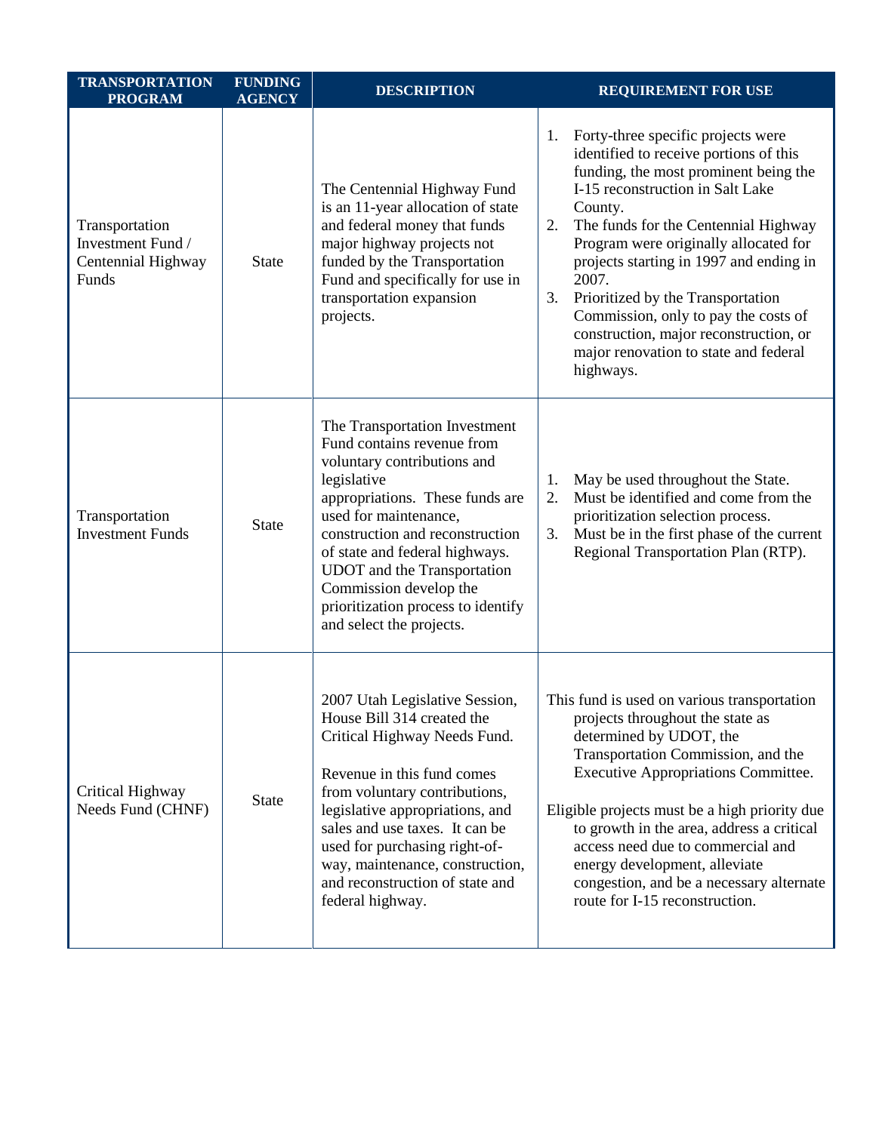| <b>TRANSPORTATION</b><br><b>PROGRAM</b>                            | <b>FUNDING</b><br><b>AGENCY</b> | <b>DESCRIPTION</b>                                                                                                                                                                                                                                                                                                                                                    | <b>REQUIREMENT FOR USE</b>                                                                                                                                                                                                                                                                                                                                                                                                                                                                               |
|--------------------------------------------------------------------|---------------------------------|-----------------------------------------------------------------------------------------------------------------------------------------------------------------------------------------------------------------------------------------------------------------------------------------------------------------------------------------------------------------------|----------------------------------------------------------------------------------------------------------------------------------------------------------------------------------------------------------------------------------------------------------------------------------------------------------------------------------------------------------------------------------------------------------------------------------------------------------------------------------------------------------|
| Transportation<br>Investment Fund /<br>Centennial Highway<br>Funds | <b>State</b>                    | The Centennial Highway Fund<br>is an 11-year allocation of state<br>and federal money that funds<br>major highway projects not<br>funded by the Transportation<br>Fund and specifically for use in<br>transportation expansion<br>projects.                                                                                                                           | Forty-three specific projects were<br>1.<br>identified to receive portions of this<br>funding, the most prominent being the<br>I-15 reconstruction in Salt Lake<br>County.<br>The funds for the Centennial Highway<br>2.<br>Program were originally allocated for<br>projects starting in 1997 and ending in<br>2007.<br>3.<br>Prioritized by the Transportation<br>Commission, only to pay the costs of<br>construction, major reconstruction, or<br>major renovation to state and federal<br>highways. |
| Transportation<br><b>Investment Funds</b>                          | <b>State</b>                    | The Transportation Investment<br>Fund contains revenue from<br>voluntary contributions and<br>legislative<br>appropriations. These funds are<br>used for maintenance,<br>construction and reconstruction<br>of state and federal highways.<br>UDOT and the Transportation<br>Commission develop the<br>prioritization process to identify<br>and select the projects. | May be used throughout the State.<br>1.<br>Must be identified and come from the<br>2.<br>prioritization selection process.<br>Must be in the first phase of the current<br>3.<br>Regional Transportation Plan (RTP).                                                                                                                                                                                                                                                                                     |
| Critical Highway<br>Needs Fund (CHNF)                              | <b>State</b>                    | 2007 Utah Legislative Session,<br>House Bill 314 created the<br>Critical Highway Needs Fund.<br>Revenue in this fund comes<br>from voluntary contributions,<br>legislative appropriations, and<br>sales and use taxes. It can be<br>used for purchasing right-of-<br>way, maintenance, construction,<br>and reconstruction of state and<br>federal highway.           | This fund is used on various transportation<br>projects throughout the state as<br>determined by UDOT, the<br>Transportation Commission, and the<br><b>Executive Appropriations Committee.</b><br>Eligible projects must be a high priority due<br>to growth in the area, address a critical<br>access need due to commercial and<br>energy development, alleviate<br>congestion, and be a necessary alternate<br>route for I-15 reconstruction.                                                         |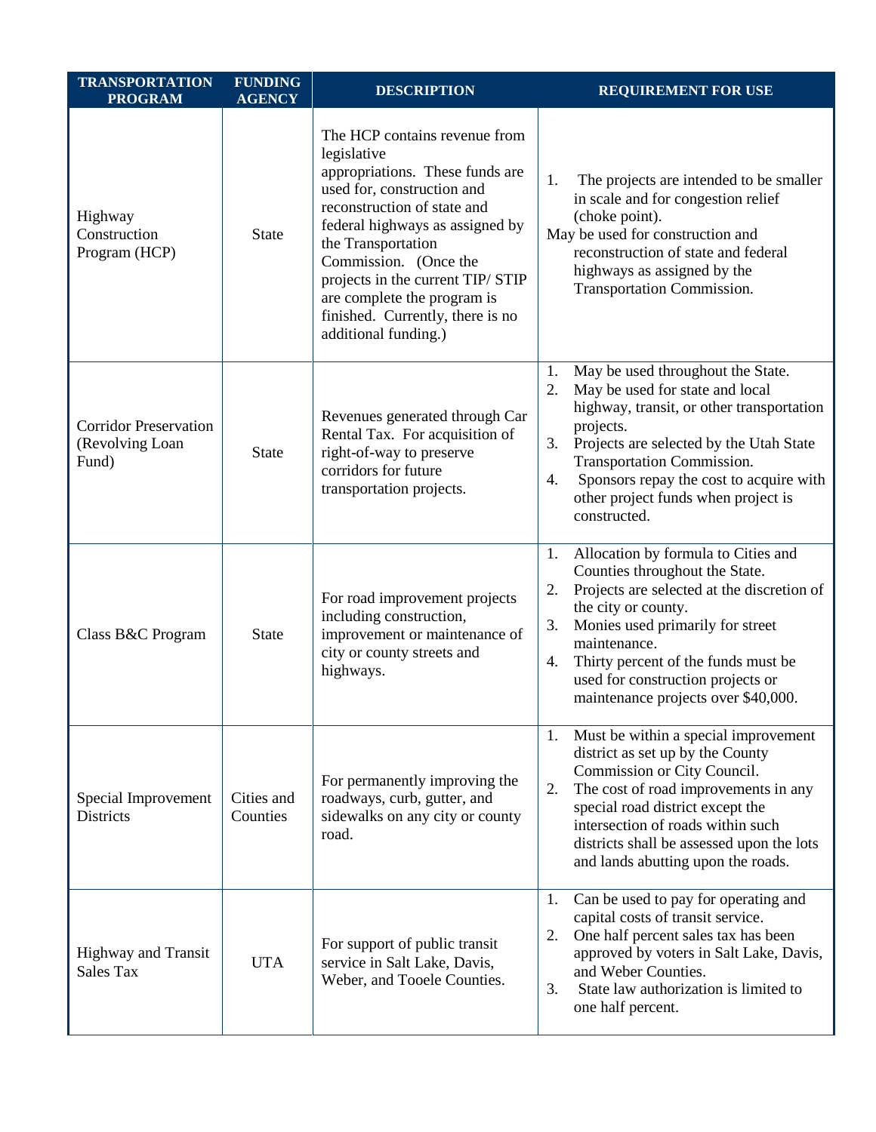| <b>TRANSPORTATION</b><br><b>PROGRAM</b>                  | <b>FUNDING</b><br><b>AGENCY</b> | <b>DESCRIPTION</b>                                                                                                                                                                                                                                                                                                                                             | <b>REQUIREMENT FOR USE</b>                                                                                                                                                                                                                                                                                                                |
|----------------------------------------------------------|---------------------------------|----------------------------------------------------------------------------------------------------------------------------------------------------------------------------------------------------------------------------------------------------------------------------------------------------------------------------------------------------------------|-------------------------------------------------------------------------------------------------------------------------------------------------------------------------------------------------------------------------------------------------------------------------------------------------------------------------------------------|
| Highway<br>Construction<br>Program (HCP)                 | <b>State</b>                    | The HCP contains revenue from<br>legislative<br>appropriations. These funds are<br>used for, construction and<br>reconstruction of state and<br>federal highways as assigned by<br>the Transportation<br>Commission. (Once the<br>projects in the current TIP/ STIP<br>are complete the program is<br>finished. Currently, there is no<br>additional funding.) | The projects are intended to be smaller<br>1.<br>in scale and for congestion relief<br>(choke point).<br>May be used for construction and<br>reconstruction of state and federal<br>highways as assigned by the<br>Transportation Commission.                                                                                             |
| <b>Corridor Preservation</b><br>(Revolving Loan<br>Fund) | <b>State</b>                    | Revenues generated through Car<br>Rental Tax. For acquisition of<br>right-of-way to preserve<br>corridors for future<br>transportation projects.                                                                                                                                                                                                               | 1.<br>May be used throughout the State.<br>May be used for state and local<br>2.<br>highway, transit, or other transportation<br>projects.<br>3.<br>Projects are selected by the Utah State<br>Transportation Commission.<br>Sponsors repay the cost to acquire with<br>4.<br>other project funds when project is<br>constructed.         |
| Class B&C Program                                        | <b>State</b>                    | For road improvement projects<br>including construction,<br>improvement or maintenance of<br>city or county streets and<br>highways.                                                                                                                                                                                                                           | Allocation by formula to Cities and<br>1.<br>Counties throughout the State.<br>Projects are selected at the discretion of<br>2.<br>the city or county.<br>Monies used primarily for street<br>3.<br>maintenance.<br>Thirty percent of the funds must be<br>4.<br>used for construction projects or<br>maintenance projects over \$40,000. |
| Special Improvement<br><b>Districts</b>                  | Cities and<br>Counties          | For permanently improving the<br>roadways, curb, gutter, and<br>sidewalks on any city or county<br>road.                                                                                                                                                                                                                                                       | Must be within a special improvement<br>1.<br>district as set up by the County<br>Commission or City Council.<br>The cost of road improvements in any<br>2.<br>special road district except the<br>intersection of roads within such<br>districts shall be assessed upon the lots<br>and lands abutting upon the roads.                   |
| <b>Highway and Transit</b><br><b>Sales Tax</b>           | <b>UTA</b>                      | For support of public transit<br>service in Salt Lake, Davis,<br>Weber, and Tooele Counties.                                                                                                                                                                                                                                                                   | Can be used to pay for operating and<br>1.<br>capital costs of transit service.<br>One half percent sales tax has been<br>2.<br>approved by voters in Salt Lake, Davis,<br>and Weber Counties.<br>3.<br>State law authorization is limited to<br>one half percent.                                                                        |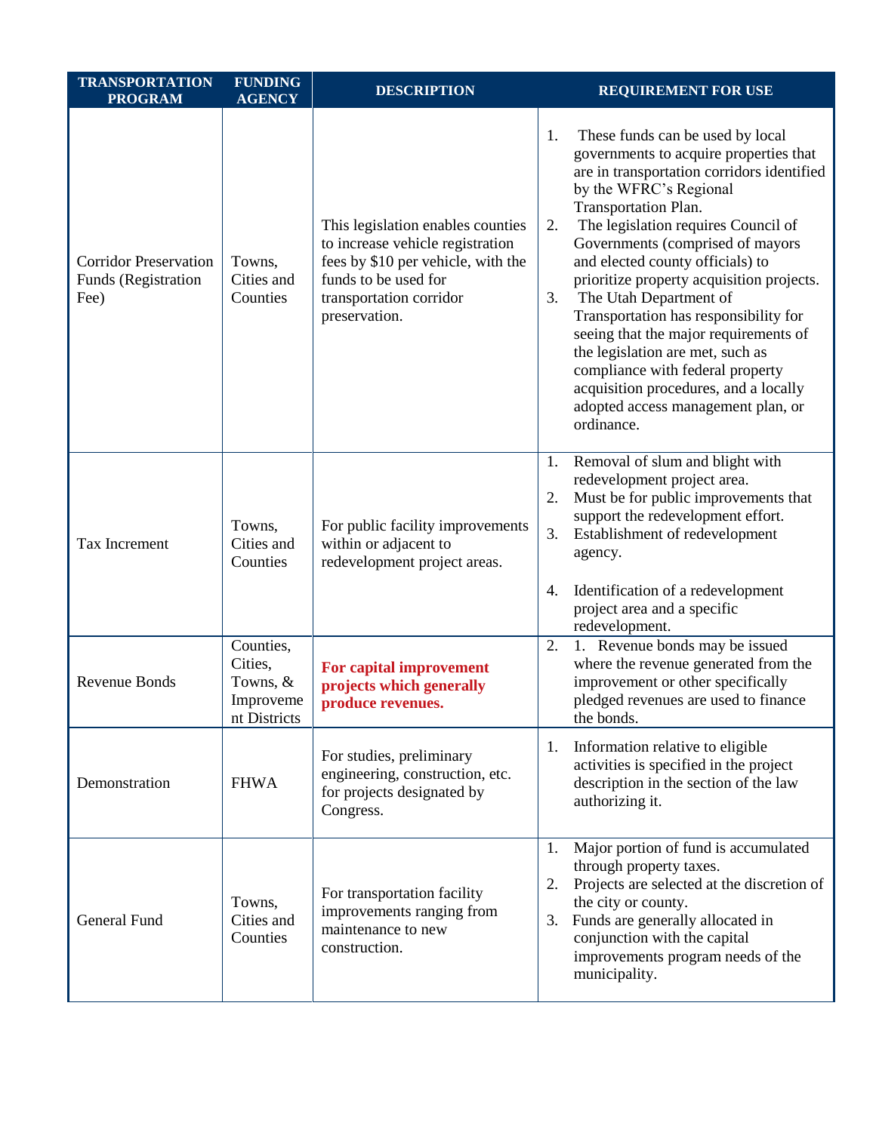| <b>TRANSPORTATION</b><br><b>PROGRAM</b>                     | <b>FUNDING</b><br><b>AGENCY</b>                                 | <b>DESCRIPTION</b>                                                                                                                                                              | <b>REQUIREMENT FOR USE</b>                                                                                                                                                                                                                                                                                                                                                                                                                                                                                                                                                                                                                |
|-------------------------------------------------------------|-----------------------------------------------------------------|---------------------------------------------------------------------------------------------------------------------------------------------------------------------------------|-------------------------------------------------------------------------------------------------------------------------------------------------------------------------------------------------------------------------------------------------------------------------------------------------------------------------------------------------------------------------------------------------------------------------------------------------------------------------------------------------------------------------------------------------------------------------------------------------------------------------------------------|
| <b>Corridor Preservation</b><br>Funds (Registration<br>Fee) | Towns,<br>Cities and<br>Counties                                | This legislation enables counties<br>to increase vehicle registration<br>fees by \$10 per vehicle, with the<br>funds to be used for<br>transportation corridor<br>preservation. | 1.<br>These funds can be used by local<br>governments to acquire properties that<br>are in transportation corridors identified<br>by the WFRC's Regional<br>Transportation Plan.<br>The legislation requires Council of<br>2.<br>Governments (comprised of mayors<br>and elected county officials) to<br>prioritize property acquisition projects.<br>The Utah Department of<br>3.<br>Transportation has responsibility for<br>seeing that the major requirements of<br>the legislation are met, such as<br>compliance with federal property<br>acquisition procedures, and a locally<br>adopted access management plan, or<br>ordinance. |
| <b>Tax Increment</b>                                        | Towns,<br>Cities and<br>Counties                                | For public facility improvements<br>within or adjacent to<br>redevelopment project areas.                                                                                       | Removal of slum and blight with<br>1.<br>redevelopment project area.<br>Must be for public improvements that<br>2.<br>support the redevelopment effort.<br>3.<br>Establishment of redevelopment<br>agency.<br>Identification of a redevelopment<br>4.<br>project area and a specific                                                                                                                                                                                                                                                                                                                                                      |
| <b>Revenue Bonds</b>                                        | Counties,<br>Cities,<br>Towns, $&$<br>Improveme<br>nt Districts | For capital improvement<br>projects which generally<br>produce revenues.                                                                                                        | redevelopment.<br>2.<br>1. Revenue bonds may be issued<br>where the revenue generated from the<br>improvement or other specifically<br>pledged revenues are used to finance<br>the bonds.                                                                                                                                                                                                                                                                                                                                                                                                                                                 |
| Demonstration                                               | <b>FHWA</b>                                                     | For studies, preliminary<br>engineering, construction, etc.<br>for projects designated by<br>Congress.                                                                          | Information relative to eligible<br>1.<br>activities is specified in the project<br>description in the section of the law<br>authorizing it.                                                                                                                                                                                                                                                                                                                                                                                                                                                                                              |
| General Fund                                                | Towns,<br>Cities and<br>Counties                                | For transportation facility<br>improvements ranging from<br>maintenance to new<br>construction.                                                                                 | Major portion of fund is accumulated<br>1.<br>through property taxes.<br>Projects are selected at the discretion of<br>2.<br>the city or county.<br>Funds are generally allocated in<br>3.<br>conjunction with the capital<br>improvements program needs of the<br>municipality.                                                                                                                                                                                                                                                                                                                                                          |